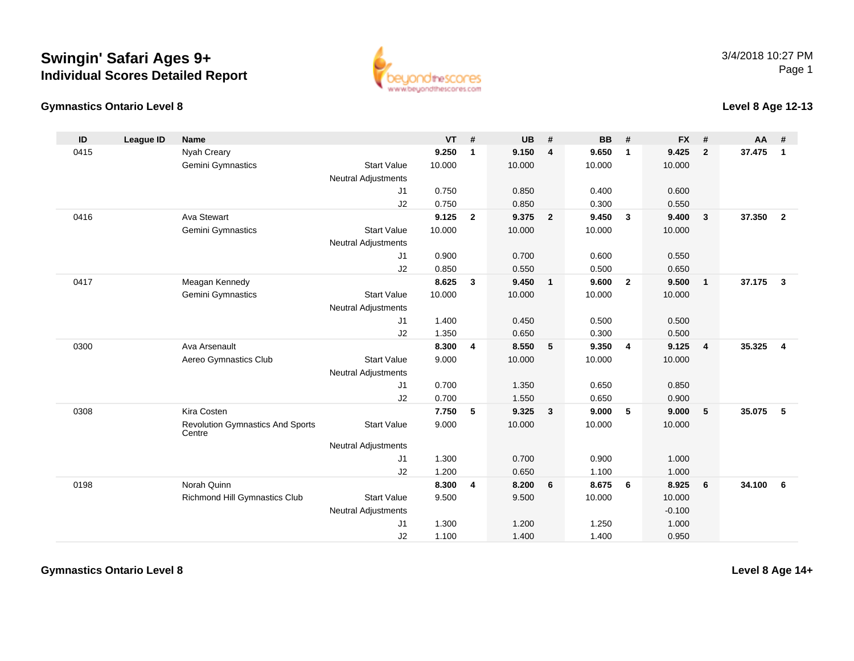## **Swingin' Safari Ages 9+Individual Scores Detailed Report**





## **Level 8 Age 12-13**

| ID   | League ID | <b>Name</b>                                       |                            | <b>VT</b> | #              | <b>UB</b> | #                       | <b>BB</b> | #                       | <b>FX</b> | #              | <b>AA</b> | #              |
|------|-----------|---------------------------------------------------|----------------------------|-----------|----------------|-----------|-------------------------|-----------|-------------------------|-----------|----------------|-----------|----------------|
| 0415 |           | Nyah Creary                                       |                            | 9.250     | $\mathbf{1}$   | 9.150     | 4                       | 9.650     | $\mathbf{1}$            | 9.425     | $\overline{2}$ | 37.475    | $\mathbf{1}$   |
|      |           | Gemini Gymnastics                                 | <b>Start Value</b>         | 10.000    |                | 10.000    |                         | 10.000    |                         | 10.000    |                |           |                |
|      |           |                                                   | <b>Neutral Adjustments</b> |           |                |           |                         |           |                         |           |                |           |                |
|      |           |                                                   | J1                         | 0.750     |                | 0.850     |                         | 0.400     |                         | 0.600     |                |           |                |
|      |           |                                                   | J2                         | 0.750     |                | 0.850     |                         | 0.300     |                         | 0.550     |                |           |                |
| 0416 |           | Ava Stewart                                       |                            | 9.125     | $\overline{2}$ | 9.375     | $\overline{\mathbf{2}}$ | 9.450     | $\overline{\mathbf{3}}$ | 9.400     | $\mathbf{3}$   | 37,350    | $\overline{2}$ |
|      |           | Gemini Gymnastics                                 | <b>Start Value</b>         | 10.000    |                | 10.000    |                         | 10.000    |                         | 10.000    |                |           |                |
|      |           |                                                   | <b>Neutral Adjustments</b> |           |                |           |                         |           |                         |           |                |           |                |
|      |           |                                                   | J1                         | 0.900     |                | 0.700     |                         | 0.600     |                         | 0.550     |                |           |                |
|      |           |                                                   | J2                         | 0.850     |                | 0.550     |                         | 0.500     |                         | 0.650     |                |           |                |
| 0417 |           | Meagan Kennedy                                    |                            | 8.625     | $\mathbf{3}$   | 9.450     | $\overline{1}$          | 9.600     | $\overline{2}$          | 9.500     | $\mathbf{1}$   | 37.175    | $\mathbf{3}$   |
|      |           | Gemini Gymnastics                                 | <b>Start Value</b>         | 10.000    |                | 10.000    |                         | 10.000    |                         | 10.000    |                |           |                |
|      |           |                                                   | <b>Neutral Adjustments</b> |           |                |           |                         |           |                         |           |                |           |                |
|      |           |                                                   | J1                         | 1.400     |                | 0.450     |                         | 0.500     |                         | 0.500     |                |           |                |
|      |           |                                                   | J2                         | 1.350     |                | 0.650     |                         | 0.300     |                         | 0.500     |                |           |                |
| 0300 |           | Ava Arsenault                                     |                            | 8.300     | 4              | 8.550     | 5                       | 9.350     | $\overline{4}$          | 9.125     | $\overline{4}$ | 35.325    | $\overline{4}$ |
|      |           | Aereo Gymnastics Club                             | <b>Start Value</b>         | 9.000     |                | 10.000    |                         | 10.000    |                         | 10.000    |                |           |                |
|      |           |                                                   | <b>Neutral Adjustments</b> |           |                |           |                         |           |                         |           |                |           |                |
|      |           |                                                   | J1                         | 0.700     |                | 1.350     |                         | 0.650     |                         | 0.850     |                |           |                |
|      |           |                                                   | J2                         | 0.700     |                | 1.550     |                         | 0.650     |                         | 0.900     |                |           |                |
| 0308 |           | Kira Costen                                       |                            | 7.750     | 5              | 9.325     | $\overline{\mathbf{3}}$ | 9.000     | 5                       | 9.000     | 5              | 35.075    | 5              |
|      |           | <b>Revolution Gymnastics And Sports</b><br>Centre | <b>Start Value</b>         | 9.000     |                | 10.000    |                         | 10.000    |                         | 10.000    |                |           |                |
|      |           |                                                   | <b>Neutral Adjustments</b> |           |                |           |                         |           |                         |           |                |           |                |
|      |           |                                                   | J1                         | 1.300     |                | 0.700     |                         | 0.900     |                         | 1.000     |                |           |                |
|      |           |                                                   | J2                         | 1.200     |                | 0.650     |                         | 1.100     |                         | 1.000     |                |           |                |
| 0198 |           | Norah Quinn                                       |                            | 8.300     | 4              | 8.200     | 6                       | 8.675     | 6                       | 8.925     | 6              | 34.100    | 6              |
|      |           | Richmond Hill Gymnastics Club                     | <b>Start Value</b>         | 9.500     |                | 9.500     |                         | 10.000    |                         | 10.000    |                |           |                |
|      |           |                                                   | <b>Neutral Adjustments</b> |           |                |           |                         |           |                         | $-0.100$  |                |           |                |
|      |           |                                                   | J1                         | 1.300     |                | 1.200     |                         | 1.250     |                         | 1.000     |                |           |                |
|      |           |                                                   | J2                         | 1.100     |                | 1.400     |                         | 1.400     |                         | 0.950     |                |           |                |

**Gymnastics Ontario Level 8**

**Level 8 Age 14+**